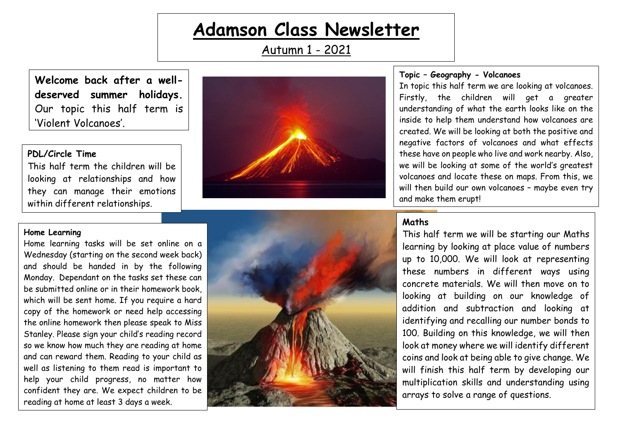# **Adamson Class Newsletter**

Autumn 1 - 2021

**Welcome back after a welldeserved summer holidays.** Our topic this half term is 'Violent Volcanoes'.

#### **PDL/Circle Time**

This half term the children will be looking at relationships and how they can manage their emotions within different relationships.



## **Topic – Geography - Volcanoes**

In topic this half term we are looking at volcanoes. Firstly, the children will get a greater understanding of what the earth looks like on the inside to help them understand how volcanoes are created. We will be looking at both the positive and negative factors of volcanoes and what effects these have on people who live and work nearby. Also, we will be looking at some of the world's greatest volcanoes and locate these on maps. From this, we will then build our own volcanoes – maybe even try and make them erupt!

#### **Home Learning**

Home learning tasks will be set online on a Wednesday (starting on the second week back) and should be handed in by the following Monday. Dependant on the tasks set these can be submitted online or in their homework book, which will be sent home. If you require a hard copy of the homework or need help accessing the online homework then please speak to Miss Stanley. Please sign your child's reading record so we know how much they are reading at home and can reward them. Reading to your child as well as listening to them read is important to help your child progress, no matter how confident they are. We expect children to be reading at home at least 3 days a week.



# **Maths**

This half term we will be starting our Maths learning by looking at place value of numbers up to 10,000. We will look at representing these numbers in different ways using concrete materials. We will then move on to looking at building on our knowledge of addition and subtraction and looking at identifying and recalling our number bonds to 100. Building on this knowledge, we will then look at money where we will identify different coins and look at being able to give change. We will finish this half term by developing our multiplication skills and understanding using arrays to solve a range of questions.